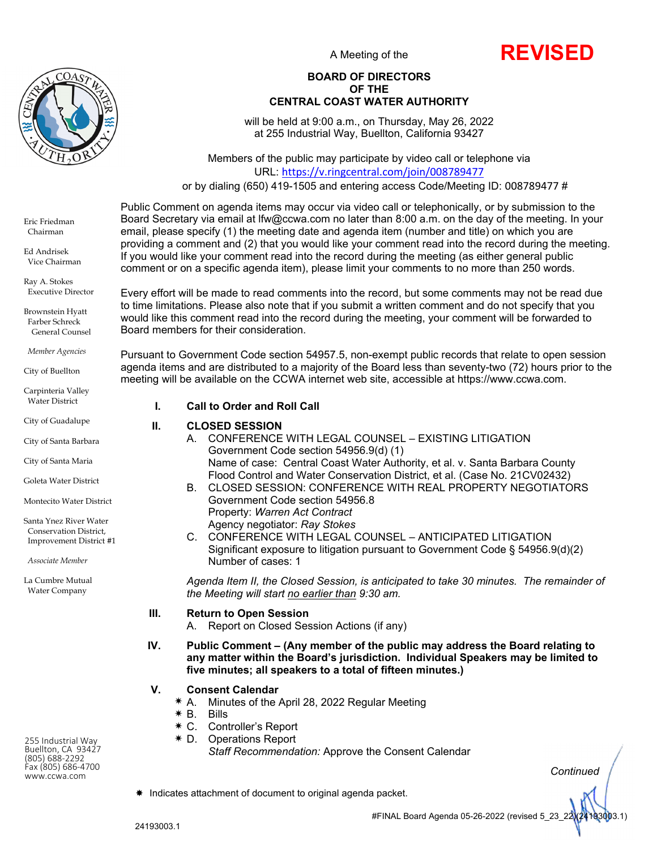

A Meeting of the



#### **BOARD OF DIRECTORS OF THE CENTRAL COAST WATER AUTHORITY**

will be held at 9:00 a.m., on Thursday, May 26, 2022 at 255 Industrial Way, Buellton, California 93427

Members of the public may participate by video call or telephone via URL: https://v.ringcentral.com/join/008789477

or by dialing (650) 419-1505 and entering access Code/Meeting ID: 008789477 #

Public Comment on agenda items may occur via video call or telephonically, or by submission to the Board Secretary via email at lfw@ccwa.com no later than 8:00 a.m. on the day of the meeting. In your email, please specify (1) the meeting date and agenda item (number and title) on which you are providing a comment and (2) that you would like your comment read into the record during the meeting. If you would like your comment read into the record during the meeting (as either general public comment or on a specific agenda item), please limit your comments to no more than 250 words.

Every effort will be made to read comments into the record, but some comments may not be read due to time limitations. Please also note that if you submit a written comment and do not specify that you would like this comment read into the record during the meeting, your comment will be forwarded to Board members for their consideration.

Pursuant to Government Code section 54957.5, non-exempt public records that relate to open session agenda items and are distributed to a majority of the Board less than seventy-two (72) hours prior to the meeting will be available on the CCWA internet web site, accessible at https://www.ccwa.com.

#### **I. Call to Order and Roll Call**

## **II. CLOSED SESSION**

- A. CONFERENCE WITH LEGAL COUNSEL EXISTING LITIGATION Government Code section 54956.9(d) (1) Name of case: Central Coast Water Authority, et al. v. Santa Barbara County Flood Control and Water Conservation District, et al. (Case No. 21CV02432) B. CLOSED SESSION: CONFERENCE WITH REAL PROPERTY NEGOTIATORS
	- Government Code section 54956.8 Property: *Warren Act Contract* Agency negotiator: *Ray Stokes*
- C. CONFERENCE WITH LEGAL COUNSEL ANTICIPATED LITIGATION Significant exposure to litigation pursuant to Government Code § 54956.9(d)(2) Number of cases: 1

*Agenda Item II, the Closed Session, is anticipated to take 30 minutes. The remainder of the Meeting will start no earlier than 9:30 am.* 

## **III. Return to Open Session**

A. Report on Closed Session Actions (if any)

**IV. Public Comment – (Any member of the public may address the Board relating to any matter within the Board's jurisdiction. Individual Speakers may be limited to five minutes; all speakers to a total of fifteen minutes.)** 

## **V. Consent Calendar**

- A. Minutes of the April 28, 2022 Regular Meeting
- $*$  B. Bills
- C. Controller's Report
- D. Operations Report
	- *Staff Recommendation:* Approve the Consent Calendar

*Continued*

Indicates attachment of document to original agenda packet.

 Executive Director Brownstein Hyatt

Eric Friedman Chairman Ed Andrisek Vice Chairman Ray A. Stokes

 Farber Schreck General Counsel

*Member Agencies* 

City of Buellton

Carpinteria Valley Water District

City of Guadalupe

City of Santa Barbara

City of Santa Maria

Goleta Water District

Montecito Water District

Santa Ynez River Water Conservation District, Improvement District #1

 *Associate Member*

La Cumbre Mutual Water Company

255 Industrial Way Buellton, CA 93427 (805) 688‐2292 Fax (805) <sup>686</sup>‐<sup>4700</sup> www.ccwa.com

#FINAL Board Agenda 05-26-2022 (revised 5\_23\_22)(24193003.1